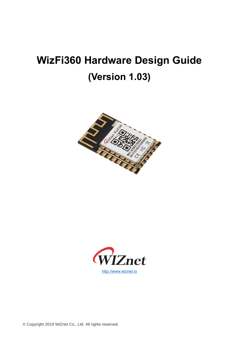# **WizFi360 Hardware Design Guide (Version 1.03)**





© Copyright 2019 WIZnet Co., Ltd. All rights reserved.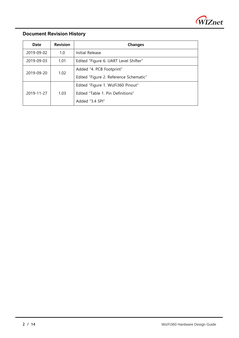

### **Document Revision History**

l

| Date       | <b>Revision</b> | <b>Changes</b>                         |
|------------|-----------------|----------------------------------------|
| 2019-09-02 | 1.0             | Initial Release                        |
| 2019-09-03 | 1.01            | Edited "Figure 6. UART Level Shifter"  |
| 2019-09-20 | 1.02            | Added "4. PCB Footprint"               |
|            |                 | Edited "Figure 2. Reference Schematic" |
|            |                 | Edited "Figure 1. WizFi360 Pinout"     |
| 2019-11-27 | 1.03            | Fdited "Table 1, Pin Definitions"      |
|            |                 | Added "3.4 SPI"                        |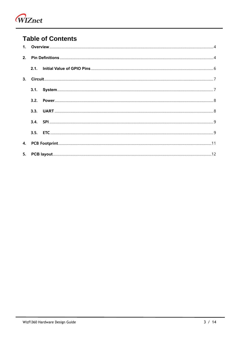

# **Table of Contents**

| 3. |      |  |  |
|----|------|--|--|
|    | 3.1. |  |  |
|    | 3.2. |  |  |
|    | 3.3. |  |  |
|    |      |  |  |
|    |      |  |  |
|    |      |  |  |
|    |      |  |  |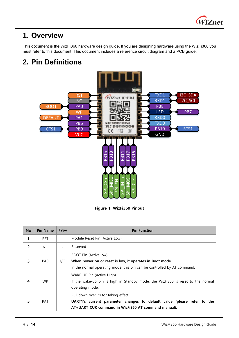

# <span id="page-3-0"></span>**1. Overview**

l

This document is the WizFi360 hardware design guide. If you are designing hardware using the WizFi360 you must refer to this document. This document includes a reference circuit diagram and a PCB guide.

# <span id="page-3-1"></span>**2. Pin Definitions**



**Figure 1. WizFi360 Pinout**

| <b>No</b> | <b>Pin Name</b> | <b>Type</b>       | <b>Pin Function</b>                                                             |
|-----------|-----------------|-------------------|---------------------------------------------------------------------------------|
| 1         | <b>RST</b>      |                   | Module Reset Pin (Active Low)                                                   |
| 2         | NC.             | $\qquad \qquad -$ | Reserved                                                                        |
|           |                 |                   | BOOT Pin (Active low)                                                           |
| 3         | PA <sub>0</sub> | I/O               | When power on or reset is low, it operates in Boot mode.                        |
|           |                 |                   | In the normal operating mode, this pin can be controlled by AT command.         |
|           |                 |                   | WAKE-UP Pin (Active High)                                                       |
| 4         | <b>WP</b>       |                   | If the wake-up pin is high in Standby mode, the WizFi360 is reset to the normal |
|           |                 |                   | operating mode.                                                                 |
|           |                 |                   | Pull down over 3s for taking effect.                                            |
| 5         | PA <sub>1</sub> |                   | UART1's current parameter changes to default value (please refer to the         |
|           |                 |                   | AT+UART CUR command in WizFi360 AT command manual).                             |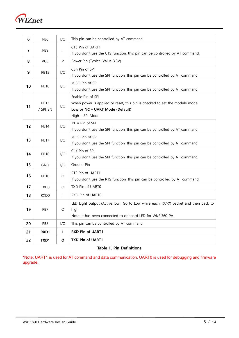

| 6  | PB <sub>6</sub>         | I/O          | This pin can be controlled by AT command.                                                                                                                |
|----|-------------------------|--------------|----------------------------------------------------------------------------------------------------------------------------------------------------------|
| 7  | PB <sub>9</sub>         | $\mathbf{I}$ | CTS Pin of UART1<br>If you don't use the CTS function, this pin can be controlled by AT command.                                                         |
| 8  | VCC                     | P            | Power Pin (Typical Value 3.3V)                                                                                                                           |
| 9  | <b>PB15</b>             | 1/O          | CSn Pin of SPI<br>If you don't use the SPI function, this pin can be controlled by AT command.                                                           |
| 10 | <b>PB18</b>             | I/O          | MISO Pin of SPI<br>If you don't use the SPI function, this pin can be controlled by AT command.                                                          |
| 11 | <b>PB13</b><br>/ SPI_EN | I/O          | Enable Pin of SPI<br>When power is applied or reset, this pin is checked to set the module mode.<br>Low or NC - UART Mode (Default)<br>High - SPI Mode   |
| 12 | <b>PB14</b>             | 1/O          | INTn Pin of SPI<br>If you don't use the SPI function, this pin can be controlled by AT command.                                                          |
| 13 | <b>PB17</b>             | 1/O          | MOSI Pin of SPI<br>If you don't use the SPI function, this pin can be controlled by AT command.                                                          |
| 14 | <b>PB16</b>             | I/O          | CLK Pin of SPI<br>If you don't use the SPI function, this pin can be controlled by AT command.                                                           |
| 15 | <b>GND</b>              | 1/O          | Ground Pin                                                                                                                                               |
| 16 | <b>PB10</b>             | O            | RTS Pin of UART1<br>If you don't use the RTS function, this pin can be controlled by AT command.                                                         |
| 17 | TXD <sub>0</sub>        | O            | TXD Pin of UART0                                                                                                                                         |
| 18 | RXD0                    | $\mathsf{I}$ | RXD Pin of UART0                                                                                                                                         |
| 19 | PB7                     | O            | LED Light output (Active low). Go to Low while each TX/RX packet and then back to<br>high.<br>Note: It has been connected to onboard LED for WizFi360-PA |
| 20 | PB8                     | I/O          | This pin can be controlled by AT command.                                                                                                                |
| 21 | RXD1                    | $\mathbf{I}$ | RXD Pin of UART1                                                                                                                                         |
| 22 | TXD1                    | O            | <b>TXD Pin of UART1</b>                                                                                                                                  |

#### **Table 1. Pin Definitions**

\*Note: UART1 is used for AT command and data communication. UART0 is used for debugging and firmware upgrade.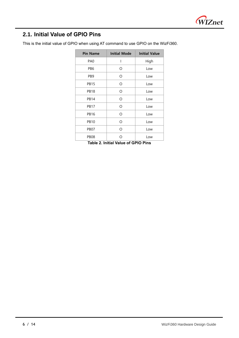

# <span id="page-5-0"></span>**2.1. Initial Value of GPIO Pins**

l

| <b>Pin Name</b> | <b>Initial Mode</b>                        | <b>Initial Value</b> |  |  |
|-----------------|--------------------------------------------|----------------------|--|--|
| PA <sub>0</sub> | I                                          | High                 |  |  |
| PB <sub>6</sub> | Ω                                          | Low                  |  |  |
| PB <sub>9</sub> | Ω                                          | Low                  |  |  |
| <b>PB15</b>     | Ω                                          | Low                  |  |  |
| <b>PB18</b>     | Ω                                          | Low                  |  |  |
| <b>PB14</b>     | O                                          | Low                  |  |  |
| <b>PB17</b>     | O                                          | Low                  |  |  |
| <b>PB16</b>     | O                                          | Low                  |  |  |
| <b>PB10</b>     | O                                          | Low                  |  |  |
| <b>PB07</b>     | $\Omega$                                   | Low                  |  |  |
| <b>PB08</b>     | ∩                                          | Low                  |  |  |
|                 | <b>Table 2. Initial Value of GPIO Pins</b> |                      |  |  |

This is the initial value of GPIO when using AT command to use GPIO on the WizFi360.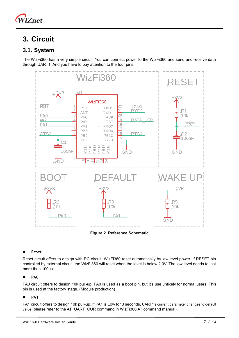

# <span id="page-6-0"></span>**3. Circuit**

### <span id="page-6-1"></span>**3.1. System**

The WizFi360 has a very simple circuit. You can connect power to the WizFi360 and send and receive data through UART1. And you have to pay attention to the four pins.



**Figure 2. Reference Schematic**

#### ⚫ **Reset**

Reset circuit offers to design with RC circuit. WizFi360 reset automatically by low level power. If RESET pin controlled by external circuit, the WizFi360 will reset when the level is below 2.0V. The low level needs to last more than 100µs.

#### ⚫ **PA0**

PA0 circuit offers to design 10k pull-up. PA0 is used as a boot pin, but it's use unlikely for normal users. This pin is used at the factory stage. (Module production)

#### ⚫ **PA1**

PA1 circuit offers to design 10k pull-up. If PA1 is Low for 3 seconds, UART1's current parameter changes to default value (please refer to the AT+UART\_CUR command in WizFi360 AT command manual).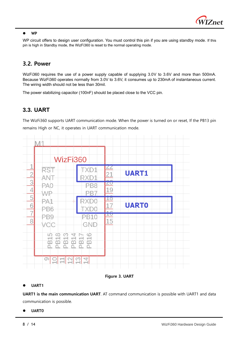

#### ⚫ **WP**

l

WP circuit offers to design user configuration. You must control this pin if you are using standby mode. If this pin is high in Standby mode, the WizFi360 is reset to the normal operating mode.

### <span id="page-7-0"></span>**3.2. Power**

WizFi360 requires the use of a power supply capable of supplying 3.0V to 3.6V and more than 500mA. Because WizFi360 operates normally from 3.0V to 3.6V, it consumes up to 230mA of instantaneous current. The wiring width should not be less than 30mil.

The power stabilizing capacitor (100nF) should be placed close to the VCC pin.

### <span id="page-7-1"></span>**3.3. UART**

The WizFi360 supports UART communication mode. When the power is turned on or reset, If the PB13 pin remains High or NC, it operates in UART communication mode.



**Figure 3. UART**

### ⚫ **UART1**

**UART1 is the main communication UART**. AT command communication is possible with UART1 and data communication is possible.

#### ⚫ **UART0**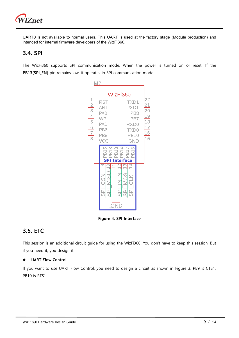

UART0 is not available to normal users. This UART is used at the factory stage (Module production) and intended for internal firmware developers of the WizFi360.

### <span id="page-8-0"></span>**3.4. SPI**

The WizFi360 supports SPI communication mode. When the power is turned on or reset, If the **PB13(SPI\_EN)** pin remains low, it operates in SPI communication mode.



**Figure 4. SPI Interface**

## <span id="page-8-1"></span>**3.5. ETC**

This session is an additional circuit guide for using the WizFi360. You don't have to keep this session. But if you need it, you design it.

### ⚫ **UART Flow Control**

If you want to use UART Flow Control, you need to design a circuit as shown in Figure 3. PB9 is CTS1, PB10 is RTS1.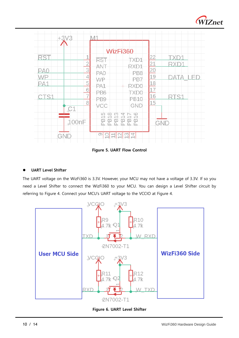

| $+3\sqrt{3}$                                                                                             | M1                                                                                                                                                                                                                                                |                                                                                                                         |
|----------------------------------------------------------------------------------------------------------|---------------------------------------------------------------------------------------------------------------------------------------------------------------------------------------------------------------------------------------------------|-------------------------------------------------------------------------------------------------------------------------|
|                                                                                                          | WizFi360                                                                                                                                                                                                                                          |                                                                                                                         |
| 1<br>R\$1<br>$\overline{2}$<br>3<br>PA0<br>4<br>WF<br>5<br>PA1<br>6<br>7<br>8<br>C <sub>1</sub><br>100nF | <b>RST</b><br><b>TXD1</b><br>ANT<br>RXD1<br>PA0<br>PB <sub>8</sub><br>₩₽<br>PB7<br>PA1<br>RXD0<br>PB <sub>6</sub><br><b>TXD0</b><br><b>PB10</b><br>PB9<br>vee<br>GND<br>918<br>813<br>816<br>815<br>814<br>914<br>꿃<br>n.<br>n.<br>Õ.<br>Ö.<br>Õ. | <u>22</u><br>$\frac{21}{20}$ $\frac{20}{19}$ $\frac{18}{17}$ $\frac{17}{16}$<br>→<br>R<br>$\overline{15}$<br><b>GND</b> |
| <b>GND</b>                                                                                               | ග<br>M<br>4<br>$\overline{\phantom{0}}$<br>$\sim$<br>c                                                                                                                                                                                            |                                                                                                                         |

**Figure 5. UART Flow Control**

### ⚫ **UART Level Shifter**

l

The UART voltage on the WizFi360 is 3.3V. However, your MCU may not have a voltage of 3.3V. If so you need a Level Shifter to connect the WizFi360 to your MCU. You can design a Level Shifter circuit by referring to Figure 4. Connect your MCU's UART voltage to the VCCIO at Figure 4.



**Figure 6. UART Level Shifter**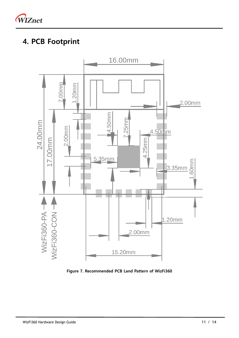

# <span id="page-10-0"></span>**4. PCB Footprint**



**Figure 7. Recommended PCB Land Pattern of WizFi360**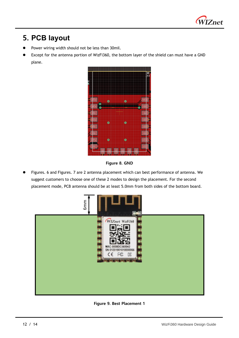

# <span id="page-11-0"></span>**5. PCB layout**

l

- Power wiring width should not be less than 30mil.
- Except for the antenna portion of WizFi360, the bottom layer of the shield can must have a GND plane.



**Figure 8. GND**

⚫ Figures. 6 and Figures. 7 are 2 antenna placement which can best performance of antenna. We suggest customers to choose one of these 2 modes to design the placement. For the second placement mode, PCB antenna should be at least 5.0mm from both sides of the bottom board.



**Figure 9. Best Placement 1**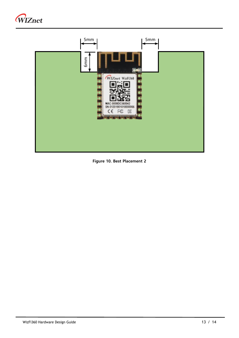



**Figure 10. Best Placement 2**